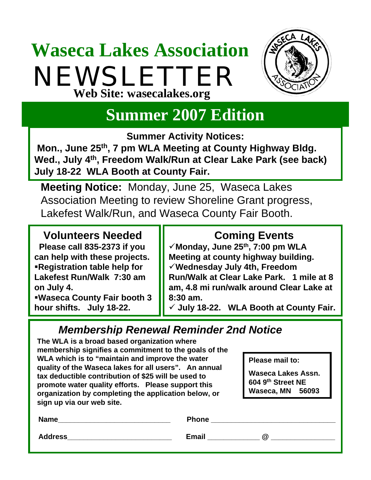## **Waseca Lakes Association** NEWSLETTER **Web Site: wasecalakes.org**



### **Summer 2007 Edition**

**Summer Activity Notices:** 

**Mon., June 25th, 7 pm WLA Meeting at County Highway Bldg. Wed., July 4th, Freedom Walk/Run at Clear Lake Park (see back) July 18-22 WLA Booth at County Fair.**

**Meeting Notice:** Monday, June 25, Waseca Lakes Association Meeting to review Shoreline Grant progress, Lakefest Walk/Run, and Waseca County Fair Booth.

#### **Volunteers Needed**

**Please call 835-2373 if you can help with these projects. Registration table help for Lakefest Run/Walk 7:30 am on July 4.**

**Waseca County Fair booth 3 hour shifts. July 18-22.**

#### **Coming Events**

9**Monday, June 25th, 7:00 pm WLA Meeting at county highway building.**  9**Wednesday July 4th, Freedom Run/Walk at Clear Lake Park. 1 mile at 8 am, 4.8 mi run/walk around Clear Lake at 8:30 am.**

9 **July 18-22. WLA Booth at County Fair.**

#### *Membership Renewal Reminder 2nd Notice*

**The WLA is a broad based organization where membership signifies a commitment to the goals of the WLA which is to "maintain and improve the water quality of the Waseca lakes for all users". An annual tax deductible contribution of \$25 will be used to promote water quality efforts. Please support this organization by completing the application below, or sign up via our web site.**

**Please mail to:**

**Waseca Lakes Assn. 604 9th Street NE Waseca, MN 56093** 

| _<br>--<br>Name | <b>Phone</b>                              |
|-----------------|-------------------------------------------|
| <b>Address</b>  | <b>Email</b><br>$^\text{\textregistered}$ |